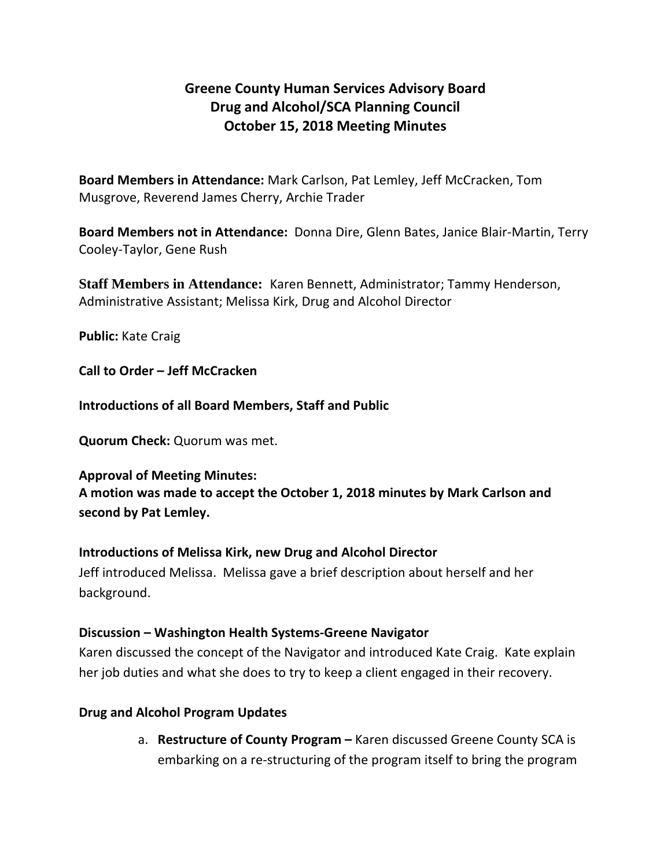# **Greene County Human Services Advisory Board Drug and Alcohol/SCA Planning Council October 15, 2018 Meeting Minutes**

**Board Members in Attendance:** Mark Carlson, Pat Lemley, Jeff McCracken, Tom Musgrove, Reverend James Cherry, Archie Trader

**Board Members not in Attendance:** Donna Dire, Glenn Bates, Janice Blair-Martin, Terry Cooley-Taylor, Gene Rush

**Staff Members in Attendance:** Karen Bennett, Administrator; Tammy Henderson, Administrative Assistant; Melissa Kirk, Drug and Alcohol Director

**Public:** Kate Craig

**Call to Order – Jeff McCracken**

**Introductions of all Board Members, Staff and Public**

**Quorum Check:** Quorum was met.

**Approval of Meeting Minutes:**

**A motion was made to accept the October 1, 2018 minutes by Mark Carlson and second by Pat Lemley.**

## **Introductions of Melissa Kirk, new Drug and Alcohol Director**

Jeff introduced Melissa. Melissa gave a brief description about herself and her background.

## **Discussion – Washington Health Systems-Greene Navigator**

Karen discussed the concept of the Navigator and introduced Kate Craig. Kate explain her job duties and what she does to try to keep a client engaged in their recovery.

## **Drug and Alcohol Program Updates**

a. **Restructure of County Program –** Karen discussed Greene County SCA is embarking on a re-structuring of the program itself to bring the program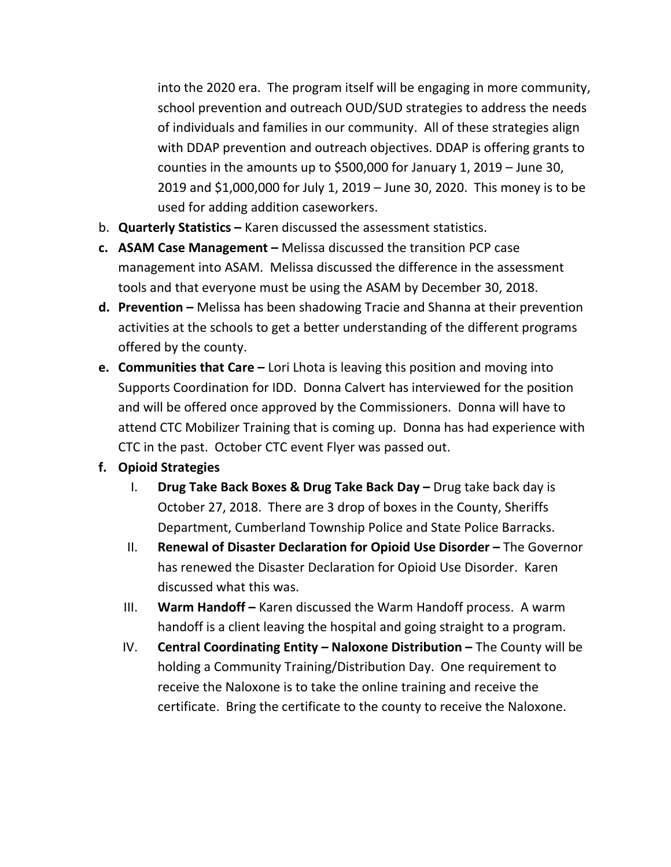into the 2020 era. The program itself will be engaging in more community, school prevention and outreach OUD/SUD strategies to address the needs of individuals and families in our community. All of these strategies align with DDAP prevention and outreach objectives. DDAP is offering grants to counties in the amounts up to \$500,000 for January 1, 2019 – June 30, 2019 and \$1,000,000 for July 1, 2019 – June 30, 2020. This money is to be used for adding addition caseworkers.

- b. **Quarterly Statistics –** Karen discussed the assessment statistics.
- **c. ASAM Case Management –** Melissa discussed the transition PCP case management into ASAM. Melissa discussed the difference in the assessment tools and that everyone must be using the ASAM by December 30, 2018.
- **d. Prevention –** Melissa has been shadowing Tracie and Shanna at their prevention activities at the schools to get a better understanding of the different programs offered by the county.
- **e. Communities that Care –** Lori Lhota is leaving this position and moving into Supports Coordination for IDD. Donna Calvert has interviewed for the position and will be offered once approved by the Commissioners. Donna will have to attend CTC Mobilizer Training that is coming up. Donna has had experience with CTC in the past. October CTC event Flyer was passed out.

## **f. Opioid Strategies**

- I. **Drug Take Back Boxes & Drug Take Back Day –** Drug take back day is October 27, 2018. There are 3 drop of boxes in the County, Sheriffs Department, Cumberland Township Police and State Police Barracks.
- II. **Renewal of Disaster Declaration for Opioid Use Disorder –** The Governor has renewed the Disaster Declaration for Opioid Use Disorder. Karen discussed what this was.
- III. **Warm Handoff –** Karen discussed the Warm Handoff process. A warm handoff is a client leaving the hospital and going straight to a program.
- IV. **Central Coordinating Entity – Naloxone Distribution –** The County will be holding a Community Training/Distribution Day. One requirement to receive the Naloxone is to take the online training and receive the certificate. Bring the certificate to the county to receive the Naloxone.